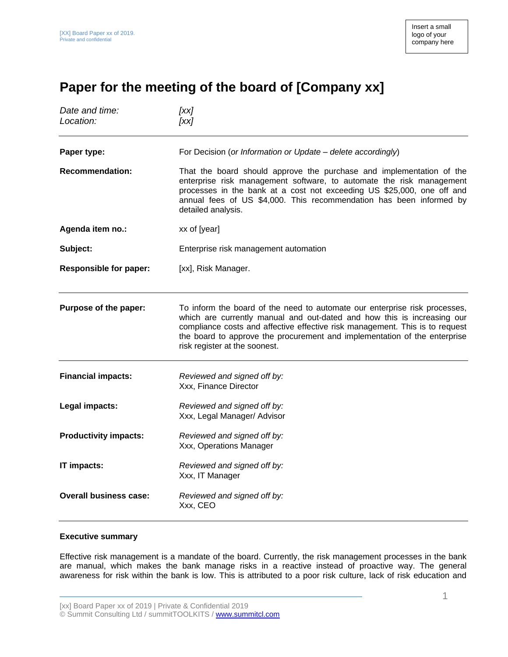## **Paper for the meeting of the board of [Company xx]**

| Date and time:<br>Location:   | [xx]<br>[xx]                                                                                                                                                                                                                                                                                                                                        |
|-------------------------------|-----------------------------------------------------------------------------------------------------------------------------------------------------------------------------------------------------------------------------------------------------------------------------------------------------------------------------------------------------|
| Paper type:                   | For Decision (or Information or Update - delete accordingly)                                                                                                                                                                                                                                                                                        |
| <b>Recommendation:</b>        | That the board should approve the purchase and implementation of the<br>enterprise risk management software, to automate the risk management<br>processes in the bank at a cost not exceeding US \$25,000, one off and<br>annual fees of US \$4,000. This recommendation has been informed by<br>detailed analysis.                                 |
| Agenda item no.:              | xx of [year]                                                                                                                                                                                                                                                                                                                                        |
| Subject:                      | Enterprise risk management automation                                                                                                                                                                                                                                                                                                               |
| <b>Responsible for paper:</b> | [xx], Risk Manager.                                                                                                                                                                                                                                                                                                                                 |
| Purpose of the paper:         | To inform the board of the need to automate our enterprise risk processes,<br>which are currently manual and out-dated and how this is increasing our<br>compliance costs and affective effective risk management. This is to request<br>the board to approve the procurement and implementation of the enterprise<br>risk register at the soonest. |
| <b>Financial impacts:</b>     | Reviewed and signed off by:<br>Xxx, Finance Director                                                                                                                                                                                                                                                                                                |
| Legal impacts:                | Reviewed and signed off by:<br>Xxx, Legal Manager/ Advisor                                                                                                                                                                                                                                                                                          |
| <b>Productivity impacts:</b>  | Reviewed and signed off by:<br>Xxx, Operations Manager                                                                                                                                                                                                                                                                                              |
| IT impacts:                   | Reviewed and signed off by:<br>Xxx, IT Manager                                                                                                                                                                                                                                                                                                      |
| <b>Overall business case:</b> | Reviewed and signed off by:<br>Xxx, CEO                                                                                                                                                                                                                                                                                                             |

## **Executive summary**

Effective risk management is a mandate of the board. Currently, the risk management processes in the bank are manual, which makes the bank manage risks in a reactive instead of proactive way. The general awareness for risk within the bank is low. This is attributed to a poor risk culture, lack of risk education and

[xx] Board Paper xx of 2019 | Private & Confidential 2019 © Summit Consulting Ltd / summitTOOLKITS / [www.summitcl.com](http://www.summitcl.com/)